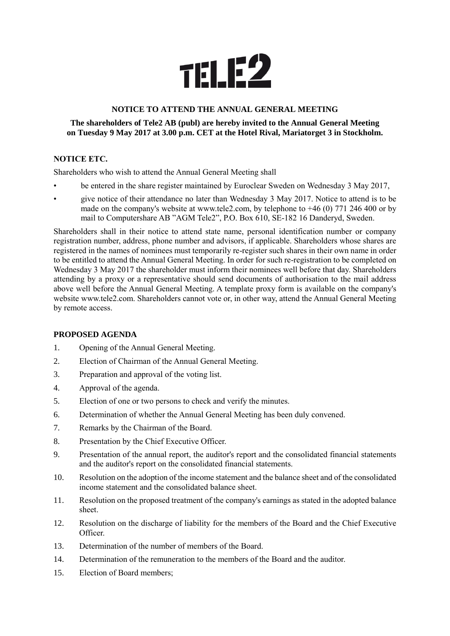

# **NOTICE TO ATTEND THE ANNUAL GENERAL MEETING**

### **The shareholders of Tele2 AB (publ) are hereby invited to the Annual General Meeting on Tuesday 9 May 2017 at 3.00 p.m. CET at the Hotel Rival, Mariatorget 3 in Stockholm.**

## **NOTICE ETC.**

Shareholders who wish to attend the Annual General Meeting shall

- be entered in the share register maintained by Euroclear Sweden on Wednesday 3 May 2017,
- give notice of their attendance no later than Wednesday 3 May 2017. Notice to attend is to be made on the company's website at www.tele2.com, by telephone to  $+46$  (0) 771 246 400 or by mail to Computershare AB "AGM Tele2", P.O. Box 610, SE-182 16 Danderyd, Sweden.

Shareholders shall in their notice to attend state name, personal identification number or company registration number, address, phone number and advisors, if applicable. Shareholders whose shares are registered in the names of nominees must temporarily re-register such shares in their own name in order to be entitled to attend the Annual General Meeting. In order for such re-registration to be completed on Wednesday 3 May 2017 the shareholder must inform their nominees well before that day. Shareholders attending by a proxy or a representative should send documents of authorisation to the mail address above well before the Annual General Meeting. A template proxy form is available on the company's website www.tele2.com. Shareholders cannot vote or, in other way, attend the Annual General Meeting by remote access.

## **PROPOSED AGENDA**

- 1. Opening of the Annual General Meeting.
- 2. Election of Chairman of the Annual General Meeting.
- 3. Preparation and approval of the voting list.
- 4. Approval of the agenda.
- 5. Election of one or two persons to check and verify the minutes.
- 6. Determination of whether the Annual General Meeting has been duly convened.
- 7. Remarks by the Chairman of the Board.
- 8. Presentation by the Chief Executive Officer.
- 9. Presentation of the annual report, the auditor's report and the consolidated financial statements and the auditor's report on the consolidated financial statements.
- 10. Resolution on the adoption of the income statement and the balance sheet and of the consolidated income statement and the consolidated balance sheet.
- 11. Resolution on the proposed treatment of the company's earnings as stated in the adopted balance sheet.
- 12. Resolution on the discharge of liability for the members of the Board and the Chief Executive Officer.
- 13. Determination of the number of members of the Board.
- 14. Determination of the remuneration to the members of the Board and the auditor.
- 15. Election of Board members;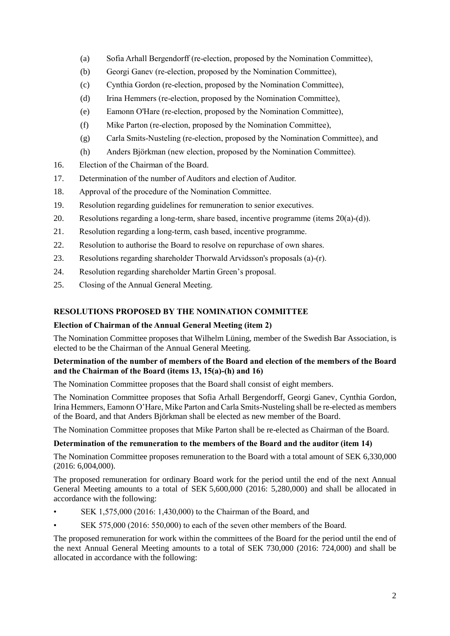- (a) Sofia Arhall Bergendorff (re-election, proposed by the Nomination Committee),
- (b) Georgi Ganev (re-election, proposed by the Nomination Committee),
- (c) Cynthia Gordon (re-election, proposed by the Nomination Committee),
- (d) Irina Hemmers (re-election, proposed by the Nomination Committee),
- (e) Eamonn O'Hare (re-election, proposed by the Nomination Committee),
- (f) Mike Parton (re-election, proposed by the Nomination Committee),
- (g) Carla Smits-Nusteling (re-election, proposed by the Nomination Committee), and
- (h) Anders Björkman (new election, proposed by the Nomination Committee).
- 16. Election of the Chairman of the Board.
- 17. Determination of the number of Auditors and election of Auditor.
- 18. Approval of the procedure of the Nomination Committee.
- 19. Resolution regarding guidelines for remuneration to senior executives.
- 20. Resolutions regarding a long-term, share based, incentive programme (items 20(a)-(d)).
- 21. Resolution regarding a long-term, cash based, incentive programme.
- 22. Resolution to authorise the Board to resolve on repurchase of own shares.
- 23. Resolutions regarding shareholder Thorwald Arvidsson's proposals (a)-(r).
- 24. Resolution regarding shareholder Martin Green's proposal.
- 25. Closing of the Annual General Meeting.

# **RESOLUTIONS PROPOSED BY THE NOMINATION COMMITTEE**

## **Election of Chairman of the Annual General Meeting (item 2)**

The Nomination Committee proposes that Wilhelm Lüning, member of the Swedish Bar Association, is elected to be the Chairman of the Annual General Meeting.

## **Determination of the number of members of the Board and election of the members of the Board and the Chairman of the Board (items 13, 15(a)-(h) and 16)**

The Nomination Committee proposes that the Board shall consist of eight members.

The Nomination Committee proposes that Sofia Arhall Bergendorff, Georgi Ganev, Cynthia Gordon, Irina Hemmers, Eamonn O'Hare, Mike Parton and Carla Smits-Nusteling shall be re-elected as members of the Board, and that Anders Björkman shall be elected as new member of the Board.

The Nomination Committee proposes that Mike Parton shall be re-elected as Chairman of the Board.

## **Determination of the remuneration to the members of the Board and the auditor (item 14)**

The Nomination Committee proposes remuneration to the Board with a total amount of SEK 6,330,000 (2016: 6,004,000).

The proposed remuneration for ordinary Board work for the period until the end of the next Annual General Meeting amounts to a total of SEK 5,600,000 (2016: 5,280,000) and shall be allocated in accordance with the following:

- SEK 1,575,000 (2016: 1,430,000) to the Chairman of the Board, and
- SEK 575,000 (2016: 550,000) to each of the seven other members of the Board.

The proposed remuneration for work within the committees of the Board for the period until the end of the next Annual General Meeting amounts to a total of SEK 730,000 (2016: 724,000) and shall be allocated in accordance with the following: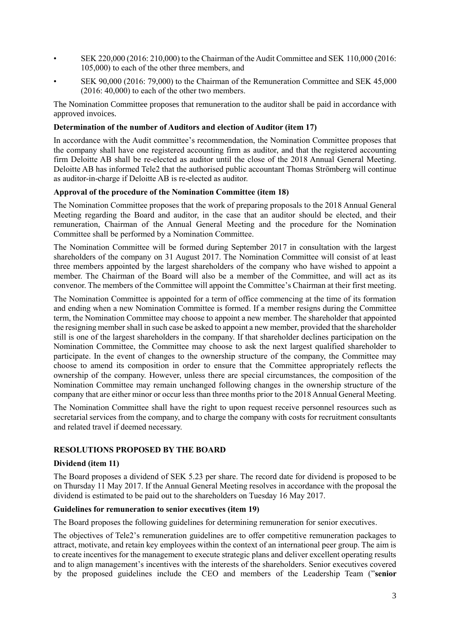- SEK 220,000 (2016: 210,000) to the Chairman of the Audit Committee and SEK 110,000 (2016: 105,000) to each of the other three members, and
- SEK 90,000 (2016: 79,000) to the Chairman of the Remuneration Committee and SEK 45,000 (2016: 40,000) to each of the other two members.

The Nomination Committee proposes that remuneration to the auditor shall be paid in accordance with approved invoices.

### **Determination of the number of Auditors and election of Auditor (item 17)**

In accordance with the Audit committee's recommendation, the Nomination Committee proposes that the company shall have one registered accounting firm as auditor, and that the registered accounting firm Deloitte AB shall be re-elected as auditor until the close of the 2018 Annual General Meeting. Deloitte AB has informed Tele2 that the authorised public accountant Thomas Strömberg will continue as auditor-in-charge if Deloitte AB is re-elected as auditor.

#### **Approval of the procedure of the Nomination Committee (item 18)**

The Nomination Committee proposes that the work of preparing proposals to the 2018 Annual General Meeting regarding the Board and auditor, in the case that an auditor should be elected, and their remuneration, Chairman of the Annual General Meeting and the procedure for the Nomination Committee shall be performed by a Nomination Committee.

The Nomination Committee will be formed during September 2017 in consultation with the largest shareholders of the company on 31 August 2017. The Nomination Committee will consist of at least three members appointed by the largest shareholders of the company who have wished to appoint a member. The Chairman of the Board will also be a member of the Committee, and will act as its convenor. The members of the Committee will appoint the Committee's Chairman at their first meeting.

The Nomination Committee is appointed for a term of office commencing at the time of its formation and ending when a new Nomination Committee is formed. If a member resigns during the Committee term, the Nomination Committee may choose to appoint a new member. The shareholder that appointed the resigning member shall in such case be asked to appoint a new member, provided that the shareholder still is one of the largest shareholders in the company. If that shareholder declines participation on the Nomination Committee, the Committee may choose to ask the next largest qualified shareholder to participate. In the event of changes to the ownership structure of the company, the Committee may choose to amend its composition in order to ensure that the Committee appropriately reflects the ownership of the company. However, unless there are special circumstances, the composition of the Nomination Committee may remain unchanged following changes in the ownership structure of the company that are either minor or occur less than three months prior to the 2018 Annual General Meeting.

The Nomination Committee shall have the right to upon request receive personnel resources such as secretarial services from the company, and to charge the company with costs for recruitment consultants and related travel if deemed necessary.

## **RESOLUTIONS PROPOSED BY THE BOARD**

#### **Dividend (item 11)**

The Board proposes a dividend of SEK 5.23 per share. The record date for dividend is proposed to be on Thursday 11 May 2017. If the Annual General Meeting resolves in accordance with the proposal the dividend is estimated to be paid out to the shareholders on Tuesday 16 May 2017.

### **Guidelines for remuneration to senior executives (item 19)**

The Board proposes the following guidelines for determining remuneration for senior executives.

The objectives of Tele2's remuneration guidelines are to offer competitive remuneration packages to attract, motivate, and retain key employees within the context of an international peer group. The aim is to create incentives for the management to execute strategic plans and deliver excellent operating results and to align management's incentives with the interests of the shareholders. Senior executives covered by the proposed guidelines include the CEO and members of the Leadership Team ("**senior**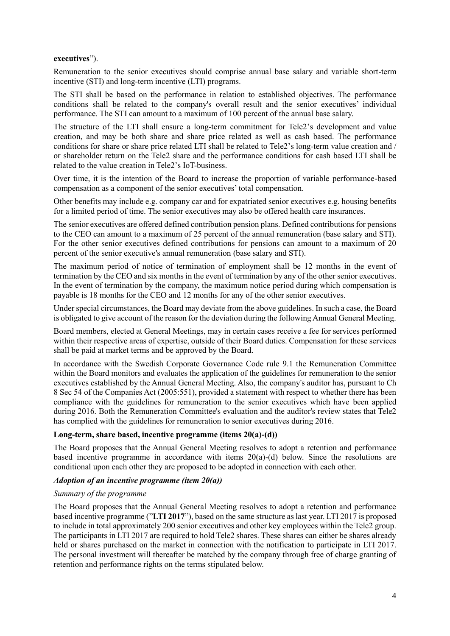#### **executives**").

Remuneration to the senior executives should comprise annual base salary and variable short-term incentive (STI) and long-term incentive (LTI) programs.

The STI shall be based on the performance in relation to established objectives. The performance conditions shall be related to the company's overall result and the senior executives' individual performance. The STI can amount to a maximum of 100 percent of the annual base salary.

The structure of the LTI shall ensure a long-term commitment for Tele2's development and value creation, and may be both share and share price related as well as cash based. The performance conditions for share or share price related LTI shall be related to Tele2's long-term value creation and / or shareholder return on the Tele2 share and the performance conditions for cash based LTI shall be related to the value creation in Tele2's IoT-business.

Over time, it is the intention of the Board to increase the proportion of variable performance-based compensation as a component of the senior executives' total compensation.

Other benefits may include e.g. company car and for expatriated senior executives e.g. housing benefits for a limited period of time. The senior executives may also be offered health care insurances.

The senior executives are offered defined contribution pension plans. Defined contributions for pensions to the CEO can amount to a maximum of 25 percent of the annual remuneration (base salary and STI). For the other senior executives defined contributions for pensions can amount to a maximum of 20 percent of the senior executive's annual remuneration (base salary and STI).

The maximum period of notice of termination of employment shall be 12 months in the event of termination by the CEO and six months in the event of termination by any of the other senior executives. In the event of termination by the company, the maximum notice period during which compensation is payable is 18 months for the CEO and 12 months for any of the other senior executives.

Under special circumstances, the Board may deviate from the above guidelines. In such a case, the Board is obligated to give account of the reason for the deviation during the following Annual General Meeting.

Board members, elected at General Meetings, may in certain cases receive a fee for services performed within their respective areas of expertise, outside of their Board duties. Compensation for these services shall be paid at market terms and be approved by the Board.

In accordance with the Swedish Corporate Governance Code rule 9.1 the Remuneration Committee within the Board monitors and evaluates the application of the guidelines for remuneration to the senior executives established by the Annual General Meeting. Also, the company's auditor has, pursuant to Ch 8 Sec 54 of the Companies Act (2005:551), provided a statement with respect to whether there has been compliance with the guidelines for remuneration to the senior executives which have been applied during 2016. Both the Remuneration Committee's evaluation and the auditor's review states that Tele2 has complied with the guidelines for remuneration to senior executives during 2016.

#### **Long-term, share based, incentive programme (items 20(a)-(d))**

The Board proposes that the Annual General Meeting resolves to adopt a retention and performance based incentive programme in accordance with items 20(a)-(d) below. Since the resolutions are conditional upon each other they are proposed to be adopted in connection with each other.

#### *Adoption of an incentive programme (item 20(a))*

#### *Summary of the programme*

The Board proposes that the Annual General Meeting resolves to adopt a retention and performance based incentive programme ("**LTI 2017**"), based on the same structure as last year. LTI 2017 is proposed to include in total approximately 200 senior executives and other key employees within the Tele2 group. The participants in LTI 2017 are required to hold Tele2 shares. These shares can either be shares already held or shares purchased on the market in connection with the notification to participate in LTI 2017. The personal investment will thereafter be matched by the company through free of charge granting of retention and performance rights on the terms stipulated below.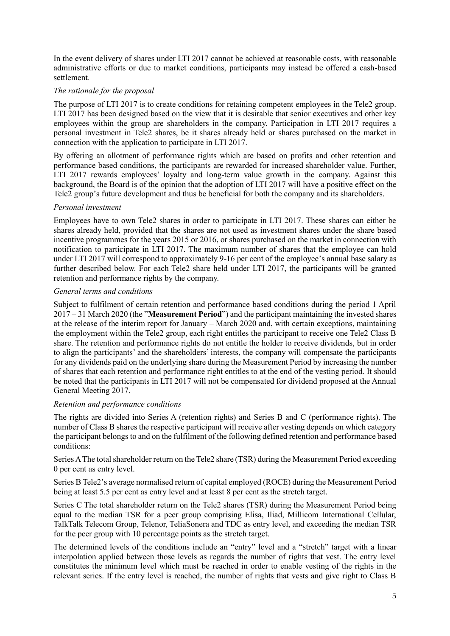In the event delivery of shares under LTI 2017 cannot be achieved at reasonable costs, with reasonable administrative efforts or due to market conditions, participants may instead be offered a cash-based settlement.

### *The rationale for the proposal*

The purpose of LTI 2017 is to create conditions for retaining competent employees in the Tele2 group. LTI 2017 has been designed based on the view that it is desirable that senior executives and other key employees within the group are shareholders in the company. Participation in LTI 2017 requires a personal investment in Tele2 shares, be it shares already held or shares purchased on the market in connection with the application to participate in LTI 2017.

By offering an allotment of performance rights which are based on profits and other retention and performance based conditions, the participants are rewarded for increased shareholder value. Further, LTI 2017 rewards employees' loyalty and long-term value growth in the company. Against this background, the Board is of the opinion that the adoption of LTI 2017 will have a positive effect on the Tele2 group's future development and thus be beneficial for both the company and its shareholders.

## *Personal investment*

Employees have to own Tele2 shares in order to participate in LTI 2017. These shares can either be shares already held, provided that the shares are not used as investment shares under the share based incentive programmes for the years 2015 or 2016, or shares purchased on the market in connection with notification to participate in LTI 2017. The maximum number of shares that the employee can hold under LTI 2017 will correspond to approximately 9-16 per cent of the employee's annual base salary as further described below. For each Tele2 share held under LTI 2017, the participants will be granted retention and performance rights by the company.

### *General terms and conditions*

Subject to fulfilment of certain retention and performance based conditions during the period 1 April 2017 – 31 March 2020 (the "**Measurement Period**") and the participant maintaining the invested shares at the release of the interim report for January – March 2020 and, with certain exceptions, maintaining the employment within the Tele2 group, each right entitles the participant to receive one Tele2 Class B share. The retention and performance rights do not entitle the holder to receive dividends, but in order to align the participants' and the shareholders' interests, the company will compensate the participants for any dividends paid on the underlying share during the Measurement Period by increasing the number of shares that each retention and performance right entitles to at the end of the vesting period. It should be noted that the participants in LTI 2017 will not be compensated for dividend proposed at the Annual General Meeting 2017.

### *Retention and performance conditions*

The rights are divided into Series A (retention rights) and Series B and C (performance rights). The number of Class B shares the respective participant will receive after vesting depends on which category the participant belongs to and on the fulfilment of the following defined retention and performance based conditions:

Series A The total shareholder return on the Tele2 share (TSR) during the Measurement Period exceeding 0 per cent as entry level.

Series B Tele2's average normalised return of capital employed (ROCE) during the Measurement Period being at least 5.5 per cent as entry level and at least 8 per cent as the stretch target.

Series C The total shareholder return on the Tele2 shares (TSR) during the Measurement Period being equal to the median TSR for a peer group comprising Elisa, Iliad, Millicom International Cellular, TalkTalk Telecom Group, Telenor, TeliaSonera and TDC as entry level, and exceeding the median TSR for the peer group with 10 percentage points as the stretch target.

The determined levels of the conditions include an "entry" level and a "stretch" target with a linear interpolation applied between those levels as regards the number of rights that vest. The entry level constitutes the minimum level which must be reached in order to enable vesting of the rights in the relevant series. If the entry level is reached, the number of rights that vests and give right to Class B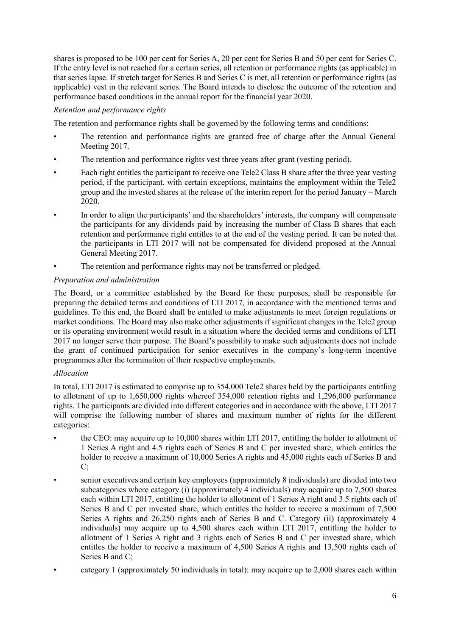shares is proposed to be 100 per cent for Series A, 20 per cent for Series B and 50 per cent for Series C. If the entry level is not reached for a certain series, all retention or performance rights (as applicable) in that series lapse. If stretch target for Series B and Series C is met, all retention or performance rights (as applicable) vest in the relevant series. The Board intends to disclose the outcome of the retention and performance based conditions in the annual report for the financial year 2020.

## *Retention and performance rights*

The retention and performance rights shall be governed by the following terms and conditions:

- The retention and performance rights are granted free of charge after the Annual General Meeting 2017.
- The retention and performance rights vest three years after grant (vesting period).
- Each right entitles the participant to receive one Tele2 Class B share after the three year vesting period, if the participant, with certain exceptions, maintains the employment within the Tele2 group and the invested shares at the release of the interim report for the period January – March 2020.
- In order to align the participants' and the shareholders' interests, the company will compensate the participants for any dividends paid by increasing the number of Class B shares that each retention and performance right entitles to at the end of the vesting period. It can be noted that the participants in LTI 2017 will not be compensated for dividend proposed at the Annual General Meeting 2017.
- The retention and performance rights may not be transferred or pledged.

# *Preparation and administration*

The Board, or a committee established by the Board for these purposes, shall be responsible for preparing the detailed terms and conditions of LTI 2017, in accordance with the mentioned terms and guidelines. To this end, the Board shall be entitled to make adjustments to meet foreign regulations or market conditions. The Board may also make other adjustments if significant changes in the Tele2 group or its operating environment would result in a situation where the decided terms and conditions of LTI 2017 no longer serve their purpose. The Board's possibility to make such adjustments does not include the grant of continued participation for senior executives in the company's long-term incentive programmes after the termination of their respective employments.

## *Allocation*

In total, LTI 2017 is estimated to comprise up to 354,000 Tele2 shares held by the participants entitling to allotment of up to 1,650,000 rights whereof 354,000 retention rights and 1,296,000 performance rights. The participants are divided into different categories and in accordance with the above, LTI 2017 will comprise the following number of shares and maximum number of rights for the different categories:

- the CEO: may acquire up to 10,000 shares within LTI 2017, entitling the holder to allotment of 1 Series A right and 4.5 rights each of Series B and C per invested share, which entitles the holder to receive a maximum of 10,000 Series A rights and 45,000 rights each of Series B and C;
- senior executives and certain key employees (approximately 8 individuals) are divided into two subcategories where category (i) (approximately 4 individuals) may acquire up to 7,500 shares each within LTI 2017, entitling the holder to allotment of 1 Series A right and 3.5 rights each of Series B and C per invested share, which entitles the holder to receive a maximum of 7,500 Series A rights and 26,250 rights each of Series B and C. Category (ii) (approximately 4 individuals) may acquire up to 4,500 shares each within LTI 2017, entitling the holder to allotment of 1 Series A right and 3 rights each of Series B and C per invested share, which entitles the holder to receive a maximum of 4,500 Series A rights and 13,500 rights each of Series B and C;
- category 1 (approximately 50 individuals in total): may acquire up to 2,000 shares each within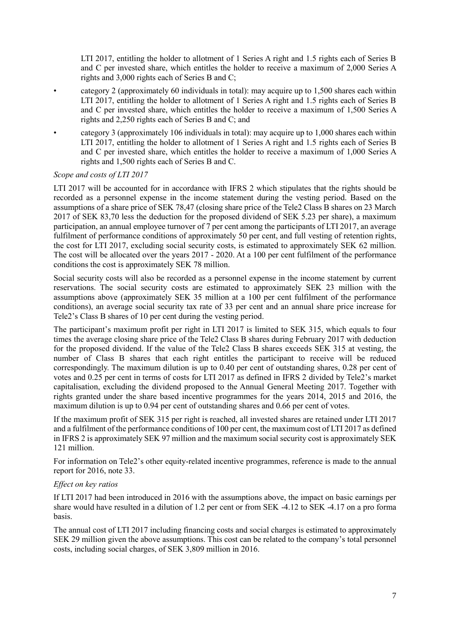LTI 2017, entitling the holder to allotment of 1 Series A right and 1.5 rights each of Series B and C per invested share, which entitles the holder to receive a maximum of 2,000 Series A rights and 3,000 rights each of Series B and C;

- category 2 (approximately 60 individuals in total): may acquire up to 1,500 shares each within LTI 2017, entitling the holder to allotment of 1 Series A right and 1.5 rights each of Series B and C per invested share, which entitles the holder to receive a maximum of 1,500 Series A rights and 2,250 rights each of Series B and C; and
- category 3 (approximately 106 individuals in total): may acquire up to 1,000 shares each within LTI 2017, entitling the holder to allotment of 1 Series A right and 1.5 rights each of Series B and C per invested share, which entitles the holder to receive a maximum of 1,000 Series A rights and 1,500 rights each of Series B and C.

### *Scope and costs of LTI 2017*

LTI 2017 will be accounted for in accordance with IFRS 2 which stipulates that the rights should be recorded as a personnel expense in the income statement during the vesting period. Based on the assumptions of a share price of SEK 78,47 (closing share price of the Tele2 Class B shares on 23 March 2017 of SEK 83,70 less the deduction for the proposed dividend of SEK 5.23 per share), a maximum participation, an annual employee turnover of 7 per cent among the participants of LTI 2017, an average fulfilment of performance conditions of approximately 50 per cent, and full vesting of retention rights, the cost for LTI 2017, excluding social security costs, is estimated to approximately SEK 62 million. The cost will be allocated over the years 2017 - 2020. At a 100 per cent fulfilment of the performance conditions the cost is approximately SEK 78 million.

Social security costs will also be recorded as a personnel expense in the income statement by current reservations. The social security costs are estimated to approximately SEK 23 million with the assumptions above (approximately SEK 35 million at a 100 per cent fulfilment of the performance conditions), an average social security tax rate of 33 per cent and an annual share price increase for Tele2's Class B shares of 10 per cent during the vesting period.

The participant's maximum profit per right in LTI 2017 is limited to SEK 315, which equals to four times the average closing share price of the Tele2 Class B shares during February 2017 with deduction for the proposed dividend. If the value of the Tele2 Class B shares exceeds SEK 315 at vesting, the number of Class B shares that each right entitles the participant to receive will be reduced correspondingly. The maximum dilution is up to 0.40 per cent of outstanding shares, 0.28 per cent of votes and 0.25 per cent in terms of costs for LTI 2017 as defined in IFRS 2 divided by Tele2's market capitalisation, excluding the dividend proposed to the Annual General Meeting 2017. Together with rights granted under the share based incentive programmes for the years 2014, 2015 and 2016, the maximum dilution is up to 0.94 per cent of outstanding shares and 0.66 per cent of votes.

If the maximum profit of SEK 315 per right is reached, all invested shares are retained under LTI 2017 and a fulfilment of the performance conditions of 100 per cent, the maximum cost of LTI 2017 as defined in IFRS 2 is approximately SEK 97 million and the maximum social security cost is approximately SEK 121 million.

For information on Tele2's other equity-related incentive programmes, reference is made to the annual report for 2016, note 33.

### *Effect on key ratios*

If LTI 2017 had been introduced in 2016 with the assumptions above, the impact on basic earnings per share would have resulted in a dilution of 1.2 per cent or from SEK -4.12 to SEK -4.17 on a pro forma basis.

The annual cost of LTI 2017 including financing costs and social charges is estimated to approximately SEK 29 million given the above assumptions. This cost can be related to the company's total personnel costs, including social charges, of SEK 3,809 million in 2016.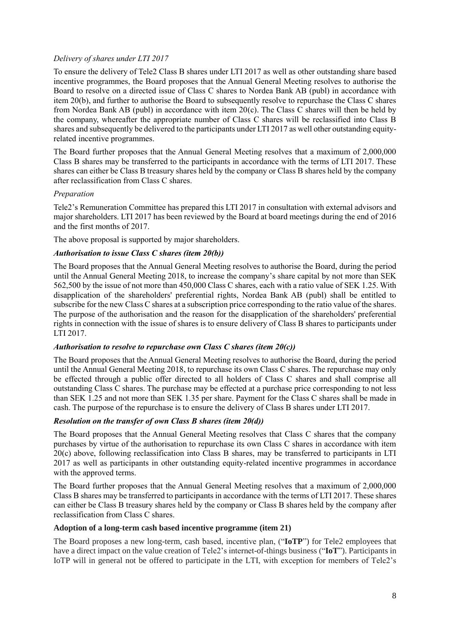## *Delivery of shares under LTI 2017*

To ensure the delivery of Tele2 Class B shares under LTI 2017 as well as other outstanding share based incentive programmes, the Board proposes that the Annual General Meeting resolves to authorise the Board to resolve on a directed issue of Class C shares to Nordea Bank AB (publ) in accordance with item 20(b), and further to authorise the Board to subsequently resolve to repurchase the Class C shares from Nordea Bank AB (publ) in accordance with item 20(c). The Class C shares will then be held by the company, whereafter the appropriate number of Class C shares will be reclassified into Class B shares and subsequently be delivered to the participants under LTI 2017 as well other outstanding equityrelated incentive programmes.

The Board further proposes that the Annual General Meeting resolves that a maximum of 2,000,000 Class B shares may be transferred to the participants in accordance with the terms of LTI 2017. These shares can either be Class B treasury shares held by the company or Class B shares held by the company after reclassification from Class C shares.

## *Preparation*

Tele2's Remuneration Committee has prepared this LTI 2017 in consultation with external advisors and major shareholders. LTI 2017 has been reviewed by the Board at board meetings during the end of 2016 and the first months of 2017.

The above proposal is supported by major shareholders.

### *Authorisation to issue Class C shares (item 20(b))*

The Board proposes that the Annual General Meeting resolves to authorise the Board, during the period until the Annual General Meeting 2018, to increase the company's share capital by not more than SEK 562,500 by the issue of not more than 450,000 Class C shares, each with a ratio value of SEK 1.25. With disapplication of the shareholders' preferential rights, Nordea Bank AB (publ) shall be entitled to subscribe for the new Class C shares at a subscription price corresponding to the ratio value of the shares. The purpose of the authorisation and the reason for the disapplication of the shareholders' preferential rights in connection with the issue of shares is to ensure delivery of Class B shares to participants under LTI 2017.

#### *Authorisation to resolve to repurchase own Class C shares (item 20(c))*

The Board proposes that the Annual General Meeting resolves to authorise the Board, during the period until the Annual General Meeting 2018, to repurchase its own Class C shares. The repurchase may only be effected through a public offer directed to all holders of Class C shares and shall comprise all outstanding Class C shares. The purchase may be effected at a purchase price corresponding to not less than SEK 1.25 and not more than SEK 1.35 per share. Payment for the Class C shares shall be made in cash. The purpose of the repurchase is to ensure the delivery of Class B shares under LTI 2017.

## *Resolution on the transfer of own Class B shares (item 20(d))*

The Board proposes that the Annual General Meeting resolves that Class C shares that the company purchases by virtue of the authorisation to repurchase its own Class C shares in accordance with item 20(c) above, following reclassification into Class B shares, may be transferred to participants in LTI 2017 as well as participants in other outstanding equity-related incentive programmes in accordance with the approved terms.

The Board further proposes that the Annual General Meeting resolves that a maximum of 2,000,000 Class B shares may be transferred to participants in accordance with the terms of LTI 2017. These shares can either be Class B treasury shares held by the company or Class B shares held by the company after reclassification from Class C shares.

#### **Adoption of a long-term cash based incentive programme (item 21)**

The Board proposes a new long-term, cash based, incentive plan, ("**IoTP**") for Tele2 employees that have a direct impact on the value creation of Tele2's internet-of-things business ("**IoT**"). Participants in IoTP will in general not be offered to participate in the LTI, with exception for members of Tele2's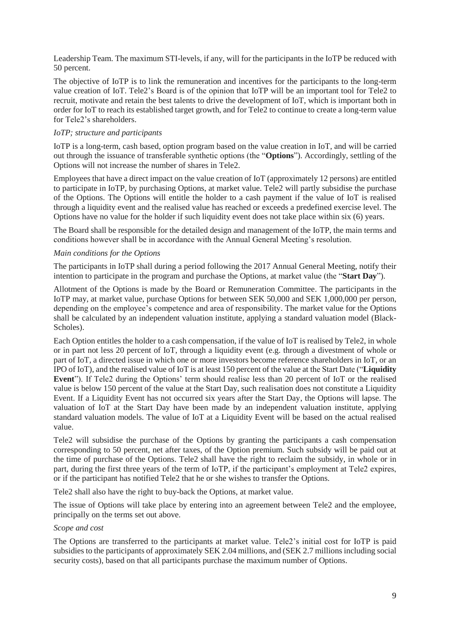Leadership Team. The maximum STI-levels, if any, will for the participants in the IoTP be reduced with 50 percent.

The objective of IoTP is to link the remuneration and incentives for the participants to the long-term value creation of IoT. Tele2's Board is of the opinion that IoTP will be an important tool for Tele2 to recruit, motivate and retain the best talents to drive the development of IoT, which is important both in order for IoT to reach its established target growth, and for Tele2 to continue to create a long-term value for Tele2's shareholders.

### *IoTP; structure and participants*

IoTP is a long-term, cash based, option program based on the value creation in IoT, and will be carried out through the issuance of transferable synthetic options (the "**Options**"). Accordingly, settling of the Options will not increase the number of shares in Tele2.

Employees that have a direct impact on the value creation of IoT (approximately 12 persons) are entitled to participate in IoTP, by purchasing Options, at market value. Tele2 will partly subsidise the purchase of the Options. The Options will entitle the holder to a cash payment if the value of IoT is realised through a liquidity event and the realised value has reached or exceeds a predefined exercise level. The Options have no value for the holder if such liquidity event does not take place within six (6) years.

The Board shall be responsible for the detailed design and management of the IoTP, the main terms and conditions however shall be in accordance with the Annual General Meeting's resolution.

### *Main conditions for the Options*

The participants in IoTP shall during a period following the 2017 Annual General Meeting, notify their intention to participate in the program and purchase the Options, at market value (the "**Start Day**").

Allotment of the Options is made by the Board or Remuneration Committee. The participants in the IoTP may, at market value, purchase Options for between SEK 50,000 and SEK 1,000,000 per person, depending on the employee's competence and area of responsibility. The market value for the Options shall be calculated by an independent valuation institute, applying a standard valuation model (Black-Scholes).

Each Option entitles the holder to a cash compensation, if the value of IoT is realised by Tele2, in whole or in part not less 20 percent of IoT, through a liquidity event (e.g. through a divestment of whole or part of IoT, a directed issue in which one or more investors become reference shareholders in IoT, or an IPO of IoT), and the realised value of IoT is at least 150 percent of the value at the Start Date ("**Liquidity Event**"). If Tele2 during the Options' term should realise less than 20 percent of IoT or the realised value is below 150 percent of the value at the Start Day, such realisation does not constitute a Liquidity Event. If a Liquidity Event has not occurred six years after the Start Day, the Options will lapse. The valuation of IoT at the Start Day have been made by an independent valuation institute, applying standard valuation models. The value of IoT at a Liquidity Event will be based on the actual realised value.

Tele2 will subsidise the purchase of the Options by granting the participants a cash compensation corresponding to 50 percent, net after taxes, of the Option premium. Such subsidy will be paid out at the time of purchase of the Options. Tele2 shall have the right to reclaim the subsidy, in whole or in part, during the first three years of the term of IoTP, if the participant's employment at Tele2 expires, or if the participant has notified Tele2 that he or she wishes to transfer the Options.

Tele2 shall also have the right to buy-back the Options, at market value.

The issue of Options will take place by entering into an agreement between Tele2 and the employee, principally on the terms set out above.

#### *Scope and cost*

The Options are transferred to the participants at market value. Tele2's initial cost for IoTP is paid subsidies to the participants of approximately SEK 2.04 millions, and (SEK 2.7 millions including social security costs), based on that all participants purchase the maximum number of Options.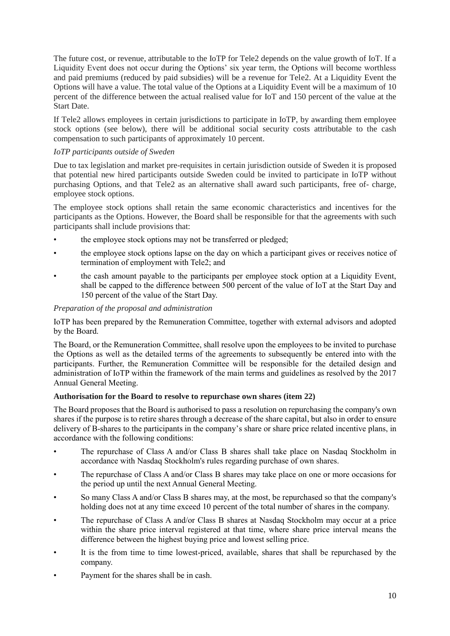The future cost, or revenue, attributable to the IoTP for Tele2 depends on the value growth of IoT. If a Liquidity Event does not occur during the Options' six year term, the Options will become worthless and paid premiums (reduced by paid subsidies) will be a revenue for Tele2. At a Liquidity Event the Options will have a value. The total value of the Options at a Liquidity Event will be a maximum of 10 percent of the difference between the actual realised value for IoT and 150 percent of the value at the Start Date.

If Tele2 allows employees in certain jurisdictions to participate in IoTP, by awarding them employee stock options (see below), there will be additional social security costs attributable to the cash compensation to such participants of approximately 10 percent.

## *IoTP participants outside of Sweden*

Due to tax legislation and market pre-requisites in certain jurisdiction outside of Sweden it is proposed that potential new hired participants outside Sweden could be invited to participate in IoTP without purchasing Options, and that Tele2 as an alternative shall award such participants, free of- charge, employee stock options.

The employee stock options shall retain the same economic characteristics and incentives for the participants as the Options. However, the Board shall be responsible for that the agreements with such participants shall include provisions that:

- the employee stock options may not be transferred or pledged;
- the employee stock options lapse on the day on which a participant gives or receives notice of termination of employment with Tele2; and
- the cash amount payable to the participants per employee stock option at a Liquidity Event, shall be capped to the difference between 500 percent of the value of IoT at the Start Day and 150 percent of the value of the Start Day.

### *Preparation of the proposal and administration*

IoTP has been prepared by the Remuneration Committee, together with external advisors and adopted by the Board.

The Board, or the Remuneration Committee, shall resolve upon the employees to be invited to purchase the Options as well as the detailed terms of the agreements to subsequently be entered into with the participants. Further, the Remuneration Committee will be responsible for the detailed design and administration of IoTP within the framework of the main terms and guidelines as resolved by the 2017 Annual General Meeting.

#### **Authorisation for the Board to resolve to repurchase own shares (item 22)**

The Board proposes that the Board is authorised to pass a resolution on repurchasing the company's own shares if the purpose is to retire shares through a decrease of the share capital, but also in order to ensure delivery of B-shares to the participants in the company's share or share price related incentive plans, in accordance with the following conditions:

- The repurchase of Class A and/or Class B shares shall take place on Nasdaq Stockholm in accordance with Nasdaq Stockholm's rules regarding purchase of own shares.
- The repurchase of Class A and/or Class B shares may take place on one or more occasions for the period up until the next Annual General Meeting.
- So many Class A and/or Class B shares may, at the most, be repurchased so that the company's holding does not at any time exceed 10 percent of the total number of shares in the company.
- The repurchase of Class A and/or Class B shares at Nasdaq Stockholm may occur at a price within the share price interval registered at that time, where share price interval means the difference between the highest buying price and lowest selling price.
- It is the from time to time lowest-priced, available, shares that shall be repurchased by the company.
- Payment for the shares shall be in cash.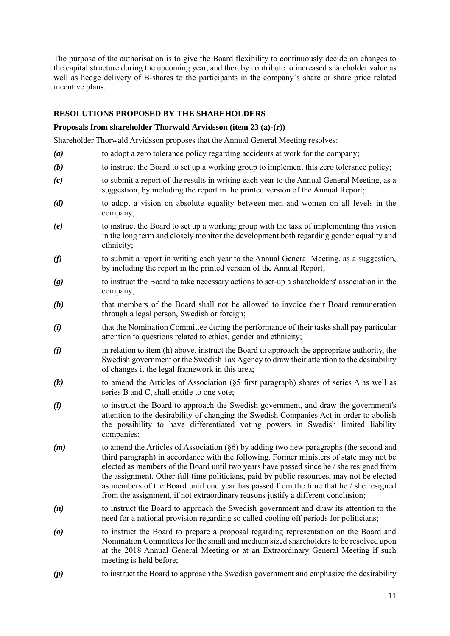The purpose of the authorisation is to give the Board flexibility to continuously decide on changes to the capital structure during the upcoming year, and thereby contribute to increased shareholder value as well as hedge delivery of B-shares to the participants in the company's share or share price related incentive plans.

### **RESOLUTIONS PROPOSED BY THE SHAREHOLDERS**

#### **Proposals from shareholder Thorwald Arvidsson (item 23 (a)-(r))**

Shareholder Thorwald Arvidsson proposes that the Annual General Meeting resolves:

- *(a)* to adopt a zero tolerance policy regarding accidents at work for the company;
- *(b)* to instruct the Board to set up a working group to implement this zero tolerance policy;
- *(c)* to submit a report of the results in writing each year to the Annual General Meeting, as a suggestion, by including the report in the printed version of the Annual Report;
- *(d)* to adopt a vision on absolute equality between men and women on all levels in the company;
- *(e)* to instruct the Board to set up a working group with the task of implementing this vision in the long term and closely monitor the development both regarding gender equality and ethnicity;
- *(f)* to submit a report in writing each year to the Annual General Meeting, as a suggestion, by including the report in the printed version of the Annual Report;
- *(g)* to instruct the Board to take necessary actions to set-up a shareholders' association in the company;
- *(h)* that members of the Board shall not be allowed to invoice their Board remuneration through a legal person, Swedish or foreign;
- *(i)* that the Nomination Committee during the performance of their tasks shall pay particular attention to questions related to ethics, gender and ethnicity;
- *(j)* in relation to item (h) above, instruct the Board to approach the appropriate authority, the Swedish government or the Swedish Tax Agency to draw their attention to the desirability of changes it the legal framework in this area;
- *(k)* to amend the Articles of Association (§5 first paragraph) shares of series A as well as series B and C, shall entitle to one vote;
- *(l)* to instruct the Board to approach the Swedish government, and draw the government's attention to the desirability of changing the Swedish Companies Act in order to abolish the possibility to have differentiated voting powers in Swedish limited liability companies;
- *(m)* to amend the Articles of Association (§6) by adding two new paragraphs (the second and third paragraph) in accordance with the following. Former ministers of state may not be elected as members of the Board until two years have passed since he / she resigned from the assignment. Other full-time politicians, paid by public resources, may not be elected as members of the Board until one year has passed from the time that he / she resigned from the assignment, if not extraordinary reasons justify a different conclusion;
- *(n)* to instruct the Board to approach the Swedish government and draw its attention to the need for a national provision regarding so called cooling off periods for politicians;
- *(o)* to instruct the Board to prepare a proposal regarding representation on the Board and Nomination Committees for the small and medium sized shareholders to be resolved upon at the 2018 Annual General Meeting or at an Extraordinary General Meeting if such meeting is held before;
- *(p)* to instruct the Board to approach the Swedish government and emphasize the desirability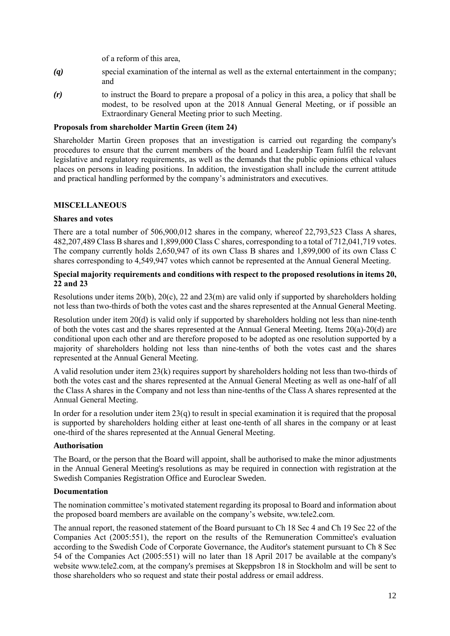of a reform of this area,

- *(q)* special examination of the internal as well as the external entertainment in the company; and
- *(r)* to instruct the Board to prepare a proposal of a policy in this area, a policy that shall be modest, to be resolved upon at the 2018 Annual General Meeting, or if possible an Extraordinary General Meeting prior to such Meeting.

### **Proposals from shareholder Martin Green (item 24)**

Shareholder Martin Green proposes that an investigation is carried out regarding the company's procedures to ensure that the current members of the board and Leadership Team fulfil the relevant legislative and regulatory requirements, as well as the demands that the public opinions ethical values places on persons in leading positions. In addition, the investigation shall include the current attitude and practical handling performed by the company's administrators and executives.

### **MISCELLANEOUS**

#### **Shares and votes**

There are a total number of 506,900,012 shares in the company, whereof 22,793,523 Class A shares, 482,207,489 Class B shares and 1,899,000 Class C shares, corresponding to a total of 712,041,719 votes. The company currently holds 2,650,947 of its own Class B shares and 1,899,000 of its own Class C shares corresponding to 4,549,947 votes which cannot be represented at the Annual General Meeting.

### **Special majority requirements and conditions with respect to the proposed resolutions in items 20, 22 and 23**

Resolutions under items 20(b), 20(c), 22 and 23(m) are valid only if supported by shareholders holding not less than two-thirds of both the votes cast and the shares represented at the Annual General Meeting.

Resolution under item 20(d) is valid only if supported by shareholders holding not less than nine-tenth of both the votes cast and the shares represented at the Annual General Meeting. Items 20(a)-20(d) are conditional upon each other and are therefore proposed to be adopted as one resolution supported by a majority of shareholders holding not less than nine-tenths of both the votes cast and the shares represented at the Annual General Meeting.

A valid resolution under item 23(k) requires support by shareholders holding not less than two-thirds of both the votes cast and the shares represented at the Annual General Meeting as well as one-half of all the Class A shares in the Company and not less than nine-tenths of the Class A shares represented at the Annual General Meeting.

In order for a resolution under item  $23(q)$  to result in special examination it is required that the proposal is supported by shareholders holding either at least one-tenth of all shares in the company or at least one-third of the shares represented at the Annual General Meeting.

### **Authorisation**

The Board, or the person that the Board will appoint, shall be authorised to make the minor adjustments in the Annual General Meeting's resolutions as may be required in connection with registration at the Swedish Companies Registration Office and Euroclear Sweden.

#### **Documentation**

The nomination committee's motivated statement regarding its proposal to Board and information about the proposed board members are available on the company's website, ww.tele2.com.

The annual report, the reasoned statement of the Board pursuant to Ch 18 Sec 4 and Ch 19 Sec 22 of the Companies Act (2005:551), the report on the results of the Remuneration Committee's evaluation according to the Swedish Code of Corporate Governance, the Auditor's statement pursuant to Ch 8 Sec 54 of the Companies Act (2005:551) will no later than 18 April 2017 be available at the company's website www.tele2.com, at the company's premises at Skeppsbron 18 in Stockholm and will be sent to those shareholders who so request and state their postal address or email address.